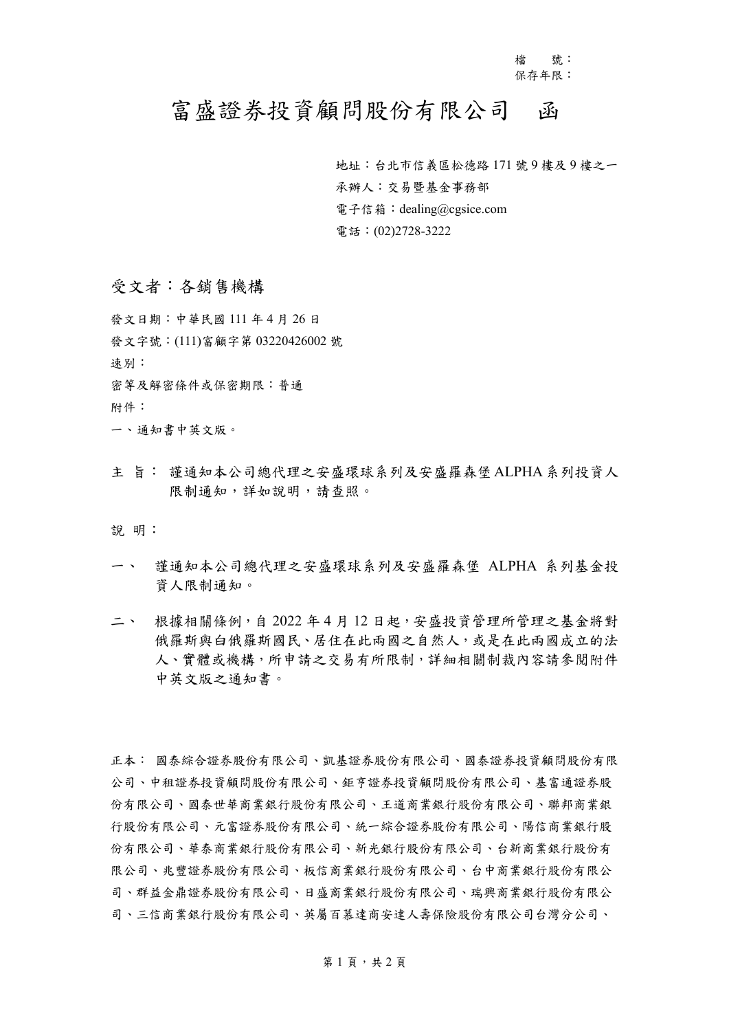檔 號: 保存年限:

## 富盛證券投資顧問股份有限公司 函

 地址:台北市信義區松德路 171 號 9 樓及 9 樓之一 承辦人:交易暨基金事務部 電子信箱:dealing@cgsice.com 電話:(02)2728-3222

## 受文者:各銷售機構

發文日期:中華民國 111 年 4 月 26 日 發文字號:(111)富顧字第 03220426002 號 速別: 密等及解密條件或保密期限:普通 附件: 一、通知書中英文版。

主 旨: 謹通知本公司總代理之安盛環球系列及安盛羅森堡ALPHA系列投資人 限制通知,詳如說明,請查照。

說 明:

- 一、 謹通知本公司總代理之安盛環球系列及安盛羅森堡 ALPHA 系列基金投 資人限制通知。
- 二、 根據相關條例,自 2022 年 4 月 12 日起,安盛投資管理所管理之基金將對 俄羅斯與白俄羅斯國民、居住在此兩國之自然人,或是在此兩國成立的法 人、實體或機構,所申請之交易有所限制,詳細相關制裁內容請參閱附件 中英文版之通知書。

正本: 國泰綜合證券股份有限公司、凱基證券股份有限公司、國泰證券投資顧問股份有限 公司、中租證券投資顧問股份有限公司、鉅亨證券投資顧問股份有限公司、基富通證券股 份有限公司、國泰世華商業銀行股份有限公司、王道商業銀行股份有限公司、聯邦商業銀 行股份有限公司、元富證券股份有限公司、統一綜合證券股份有限公司、陽信商業銀行股 份有限公司、華泰商業銀行股份有限公司、新光銀行股份有限公司、台新商業銀行股份有 限公司、兆豐證券股份有限公司、板信商業銀行股份有限公司、台中商業銀行股份有限公 司、群益金鼎證券股份有限公司、日盛商業銀行股份有限公司、瑞興商業銀行股份有限公 司、三信商業銀行股份有限公司、英屬百慕達商安達人壽保險股份有限公司台灣分公司、

第1頁,共2頁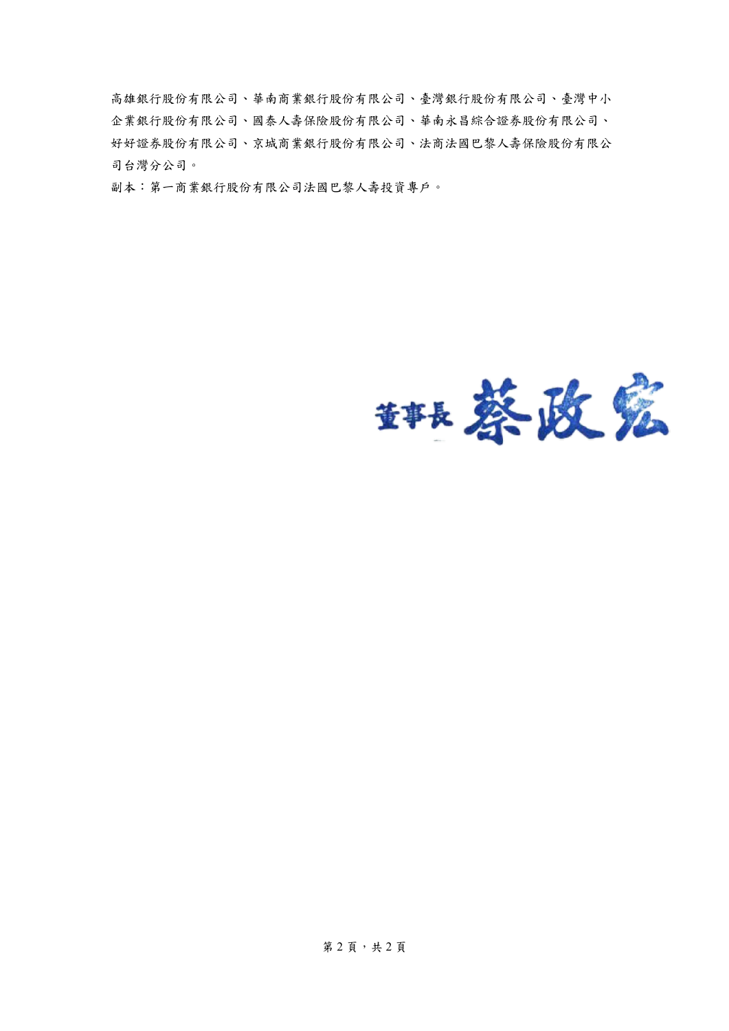高雄銀行股份有限公司、華南商業銀行股份有限公司、臺灣銀行股份有限公司、臺灣中小 企業銀行股份有限公司、國泰人壽保險股份有限公司、華南永昌綜合證券股份有限公司、 好好證券股份有限公司、京城商業銀行股份有限公司、法商法國巴黎人壽保險股份有限公 司台灣分公司。

副本:第一商業銀行股份有限公司法國巴黎人壽投資專戶。

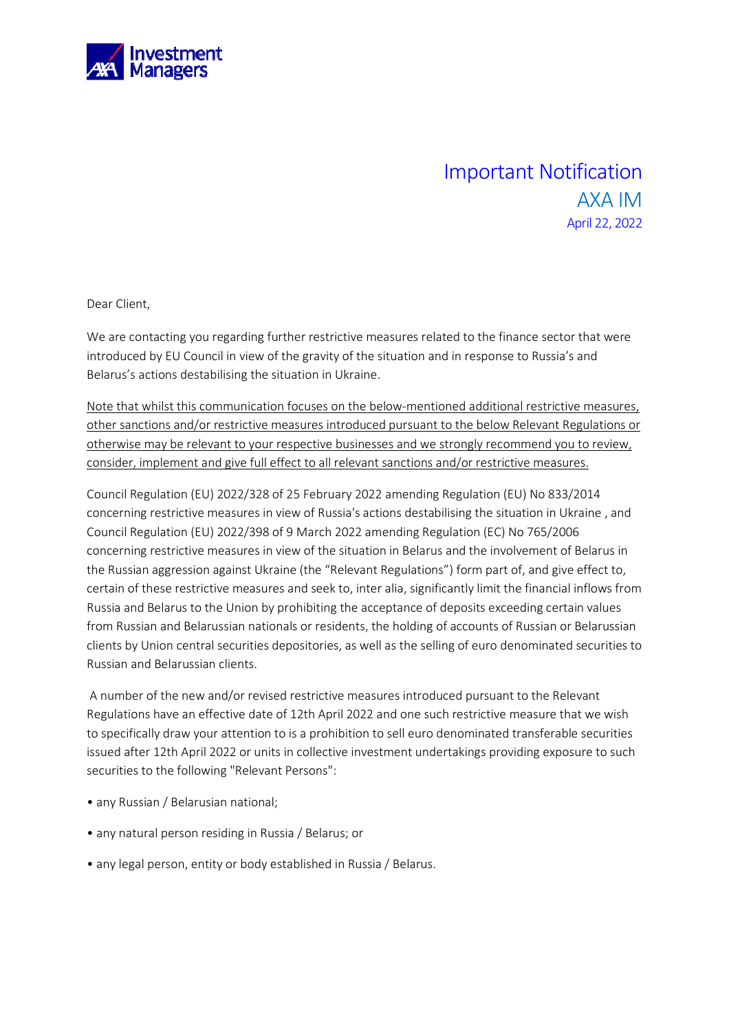

## Important Notification AXA IM April 22, 2022

Dear Client,

We are contacting you regarding further restrictive measures related to the finance sector that were introduced by EU Council in view of the gravity of the situation and in response to Russia's and Belarus's actions destabilising the situation in Ukraine.

Note that whilst this communication focuses on the below-mentioned additional restrictive measures, other sanctions and/or restrictive measures introduced pursuant to the below Relevant Regulations or otherwise may be relevant to your respective businesses and we strongly recommend you to review, consider, implement and give full effect to all relevant sanctions and/or restrictive measures.

Council Regulation (EU) 2022/328 of 25 February 2022 amending Regulation (EU) No 833/2014 concerning restrictive measures in view of Russia's actions destabilising the situation in Ukraine , and Council Regulation (EU) 2022/398 of 9 March 2022 amending Regulation (EC) No 765/2006 concerning restrictive measures in view of the situation in Belarus and the involvement of Belarus in the Russian aggression against Ukraine (the "Relevant Regulations") form part of, and give effect to, certain of these restrictive measures and seek to, inter alia, significantly limit the financial inflows from Russia and Belarus to the Union by prohibiting the acceptance of deposits exceeding certain values from Russian and Belarussian nationals or residents, the holding of accounts of Russian or Belarussian clients by Union central securities depositories, as well as the selling of euro denominated securities to Russian and Belarussian clients.

 A number of the new and/or revised restrictive measures introduced pursuant to the Relevant Regulations have an effective date of 12th April 2022 and one such restrictive measure that we wish to specifically draw your attention to is a prohibition to sell euro denominated transferable securities issued after 12th April 2022 or units in collective investment undertakings providing exposure to such securities to the following "Relevant Persons":

- any Russian / Belarusian national;
- any natural person residing in Russia / Belarus; or
- any legal person, entity or body established in Russia / Belarus.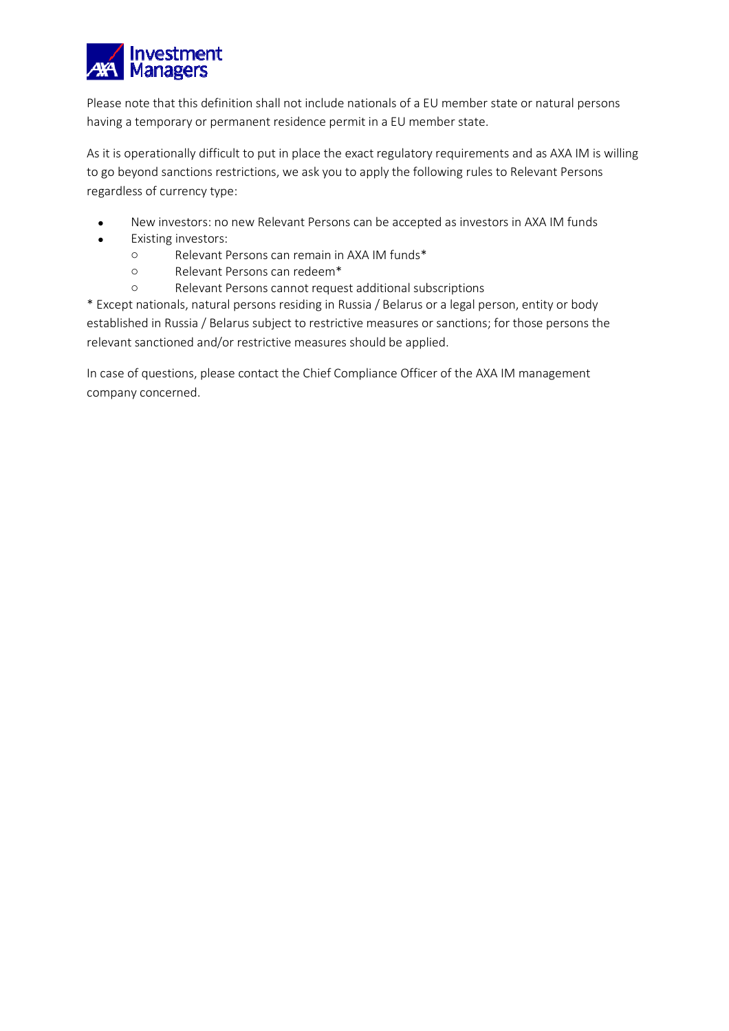

Please note that this definition shall not include nationals of a EU member state or natural persons having a temporary or permanent residence permit in a EU member state.

As it is operationally difficult to put in place the exact regulatory requirements and as AXA IM is willing to go beyond sanctions restrictions, we ask you to apply the following rules to Relevant Persons regardless of currency type:

- New investors: no new Relevant Persons can be accepted as investors in AXA IM funds
- Existing investors:
	- o Relevant Persons can remain in AXA IM funds\*
	- o Relevant Persons can redeem\*
	- o Relevant Persons cannot request additional subscriptions

\* Except nationals, natural persons residing in Russia / Belarus or a legal person, entity or body established in Russia / Belarus subject to restrictive measures or sanctions; for those persons the relevant sanctioned and/or restrictive measures should be applied.

In case of questions, please contact the Chief Compliance Officer of the AXA IM management company concerned.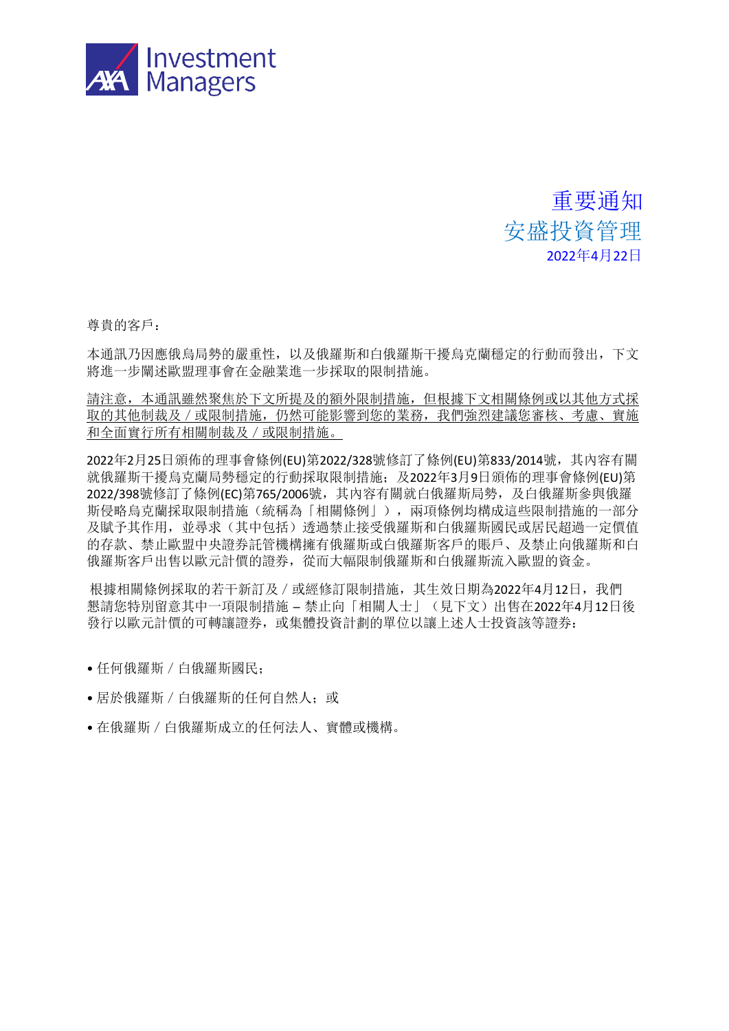

重要通知 安盛投資管理 2022年4月22日

尊貴的客戶:

本通訊乃因應俄烏局勢的嚴重性,以及俄羅斯和白俄羅斯干擾烏克蘭穩定的行動而發出,下文 將進一步闡述歐盟理事會在金融業進一步採取的限制措施。

請注意,本通訊雖然聚焦於下文所提及的額外限制措施,但根據下文相關條例或以其他方式採 取的其他制裁及/或限制措施, 仍然可能影響到您的業務, 我們強烈建議您審核、考慮、實施 和全面實行所有相關制裁及/或限制措施。

2022年2月25日頒佈的理事會條例(EU)第2022/328號修訂了條例(EU)第833/2014號,其內容有關 就俄羅斯干擾烏克蘭局勢穩定的行動採取限制措施;及2022年3月9日頒佈的理事會條例(EU)第 2022/398號修訂了條例(EC)第765/2006號,其內容有關就白俄羅斯局勢,及白俄羅斯參與俄羅 斯侵略烏克蘭採取限制措施(統稱為「相關條例」),兩項條例均構成這些限制措施的一部分 及賦予其作用,並尋求(其中包括)透過禁止接受俄羅斯和白俄羅斯國民或居民超過一定價值 的存款、禁止歐盟中央證券託管機構擁有俄羅斯或白俄羅斯客戶的賬戶、及禁止向俄羅斯和白 俄羅斯客戶出售以歐元計價的證券,從而大幅限制俄羅斯和白俄羅斯流入歐盟的資金。

根據相關條例採取的若干新訂及/或經修訂限制措施,其生效日期為2022年4月12日,我們 懇請您特別留意其中一項限制措施 ─ 禁止向「相關人士」(見下文)出售在2022年4月12日後 發行以歐元計價的可轉讓證券,或集體投資計劃的單位以讓上述人士投資該等證券:

- 任何俄羅斯/白俄羅斯國民;
- 居於俄羅斯/白俄羅斯的任何自然人;或
- 在俄羅斯/白俄羅斯成立的任何法人、實體或機構。